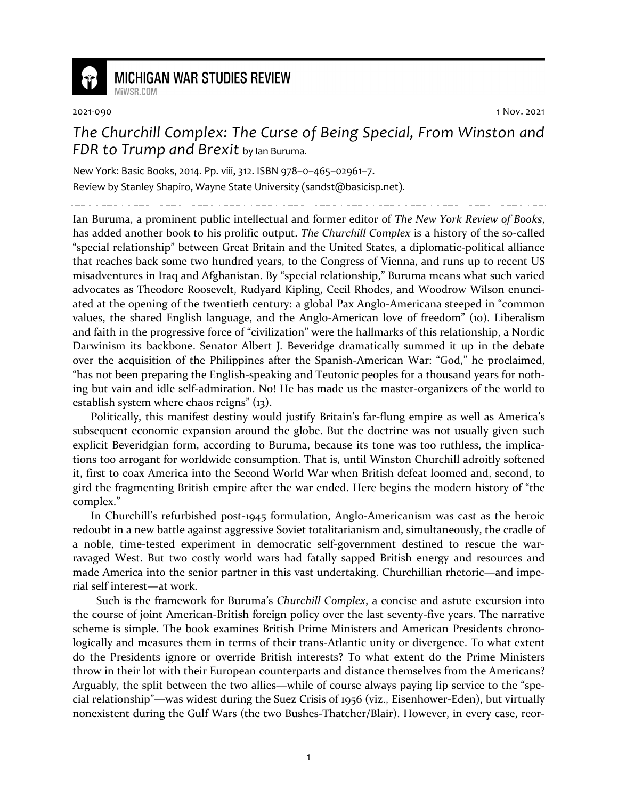

## **MICHIGAN WAR STUDIES REVIEW**

MiWSR COM

2021-090 1 Nov. 2021

## *The Churchill Complex: The Curse of Being Special, From Winston and FDR to Trump and Brexit* by Ian Buruma.

New York: Basic Books, 2014. Pp. viii, 312. ISBN 978–0–465–02961–7. Review by Stanley Shapiro, Wayne State University (sandst@basicisp.net).

Ian Buruma, a prominent public intellectual and former editor of *The New York Review of Books*, has added another book to his prolific output. *The Churchill Complex* is a history of the so-called "special relationship" between Great Britain and the United States, a diplomatic-political alliance that reaches back some two hundred years, to the Congress of Vienna, and runs up to recent US misadventures in Iraq and Afghanistan. By "special relationship," Buruma means what such varied advocates as Theodore Roosevelt, Rudyard Kipling, Cecil Rhodes, and Woodrow Wilson enunciated at the opening of the twentieth century: a global Pax Anglo-Americana steeped in "common values, the shared English language, and the Anglo-American love of freedom" (10). Liberalism and faith in the progressive force of "civilization" were the hallmarks of this relationship, a Nordic Darwinism its backbone. Senator Albert J. Beveridge dramatically summed it up in the debate over the acquisition of the Philippines after the Spanish-American War: "God," he proclaimed, "has not been preparing the English-speaking and Teutonic peoples for a thousand years for nothing but vain and idle self-admiration. No! He has made us the master-organizers of the world to establish system where chaos reigns" (13).

Politically, this manifest destiny would justify Britain's far-flung empire as well as America's subsequent economic expansion around the globe. But the doctrine was not usually given such explicit Beveridgian form, according to Buruma, because its tone was too ruthless, the implications too arrogant for worldwide consumption. That is, until Winston Churchill adroitly softened it, first to coax America into the Second World War when British defeat loomed and, second, to gird the fragmenting British empire after the war ended. Here begins the modern history of "the complex."

In Churchill's refurbished post-1945 formulation, Anglo-Americanism was cast as the heroic redoubt in a new battle against aggressive Soviet totalitarianism and, simultaneously, the cradle of a noble, time-tested experiment in democratic self-government destined to rescue the warravaged West. But two costly world wars had fatally sapped British energy and resources and made America into the senior partner in this vast undertaking. Churchillian rhetoric—and imperial self interest—at work.

 Such is the framework for Buruma's *Churchill Complex*, a concise and astute excursion into the course of joint American-British foreign policy over the last seventy-five years. The narrative scheme is simple. The book examines British Prime Ministers and American Presidents chronologically and measures them in terms of their trans-Atlantic unity or divergence. To what extent do the Presidents ignore or override British interests? To what extent do the Prime Ministers throw in their lot with their European counterparts and distance themselves from the Americans? Arguably, the split between the two allies—while of course always paying lip service to the "special relationship"—was widest during the Suez Crisis of 1956 (viz., Eisenhower-Eden), but virtually nonexistent during the Gulf Wars (the two Bushes-Thatcher/Blair). However, in every case, reor